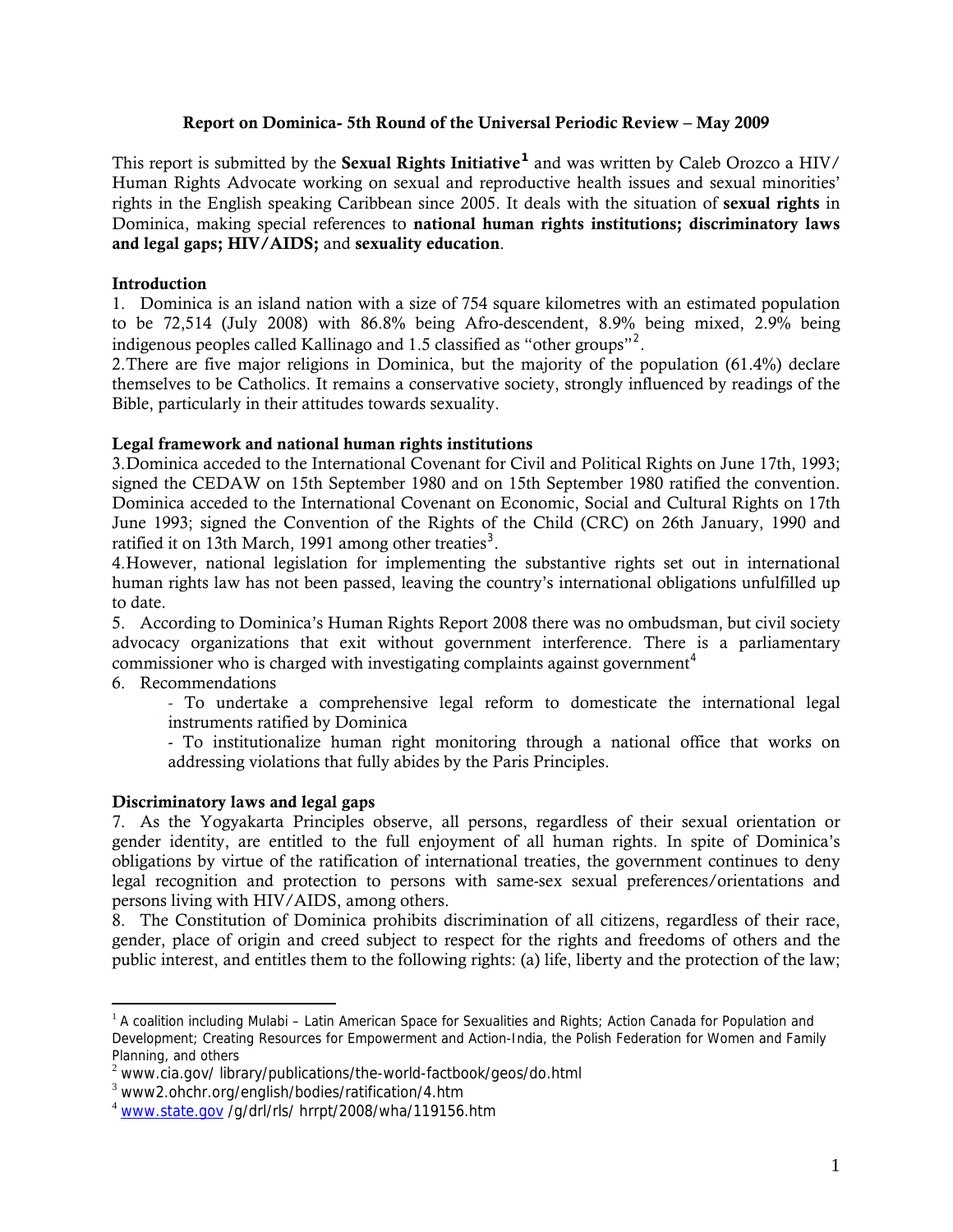#### Report on Dominica- 5th Round of the Universal Periodic Review – May 2009

This report is submitted by the Sexual Rights Initiative**[1](#page-0-0)** and was written by Caleb Orozco a HIV/ Human Rights Advocate working on sexual and reproductive health issues and sexual minorities' rights in the English speaking Caribbean since 2005. It deals with the situation of sexual rights in Dominica, making special references to national human rights institutions; discriminatory laws and legal gaps; HIV/AIDS; and sexuality education.

## Introduction

1. Dominica is an island nation with a size of 754 square kilometres with an estimated population to be 72,514 (July 2008) with 86.8% being Afro-descendent, 8.9% being mixed, 2.9% being indigenous peoples called Kallinago and 1.5 classified as "other groups"<sup>[2](#page-0-1)</sup>.

2.There are five major religions in Dominica, but the majority of the population (61.4%) declare themselves to be Catholics. It remains a conservative society, strongly influenced by readings of the Bible, particularly in their attitudes towards sexuality.

## Legal framework and national human rights institutions

3.Dominica acceded to the International Covenant for Civil and Political Rights on June 17th, 1993; signed the CEDAW on 15th September 1980 and on 15th September 1980 ratified the convention. Dominica acceded to the International Covenant on Economic, Social and Cultural Rights on 17th June 1993; signed the Convention of the Rights of the Child (CRC) on 26th January, 1990 and ratified it on 1[3](#page-0-2)th March, 1991 among other treaties<sup>3</sup>.

4.However, national legislation for implementing the substantive rights set out in international human rights law has not been passed, leaving the country's international obligations unfulfilled up to date.

5. According to Dominica's Human Rights Report 2008 there was no ombudsman, but civil society advocacy organizations that exit without government interference. There is a parliamentary commissioner who is charged with investigating complaints against government<sup>[4](#page-0-3)</sup>

#### 6. Recommendations

 $\overline{a}$ 

- To undertake a comprehensive legal reform to domesticate the international legal instruments ratified by Dominica

- To institutionalize human right monitoring through a national office that works on addressing violations that fully abides by the Paris Principles.

# Discriminatory laws and legal gaps

7. As the Yogyakarta Principles observe, all persons, regardless of their sexual orientation or gender identity, are entitled to the full enjoyment of all human rights. In spite of Dominica's obligations by virtue of the ratification of international treaties, the government continues to deny legal recognition and protection to persons with same-sex sexual preferences/orientations and persons living with HIV/AIDS, among others.

8. The Constitution of Dominica prohibits discrimination of all citizens, regardless of their race, gender, place of origin and creed subject to respect for the rights and freedoms of others and the public interest, and entitles them to the following rights: (a) life, liberty and the protection of the law;

<span id="page-0-0"></span> $1$  A coalition including Mulabi – Latin American Space for Sexualities and Rights; Action Canada for Population and Development; Creating Resources for Empowerment and Action-India, the Polish Federation for Women and Family Planning, and others

<span id="page-0-1"></span><sup>&</sup>lt;sup>2</sup> www.cia.gov/ library/publications/the-world-factbook/geos/do.html

<span id="page-0-2"></span><sup>3</sup> www2.ohchr.org/english/bodies/ratification/4.htm

<span id="page-0-3"></span><sup>4</sup> [www.state.gov](http://www.state.gov/) /g/drl/rls/ hrrpt/2008/wha/119156.htm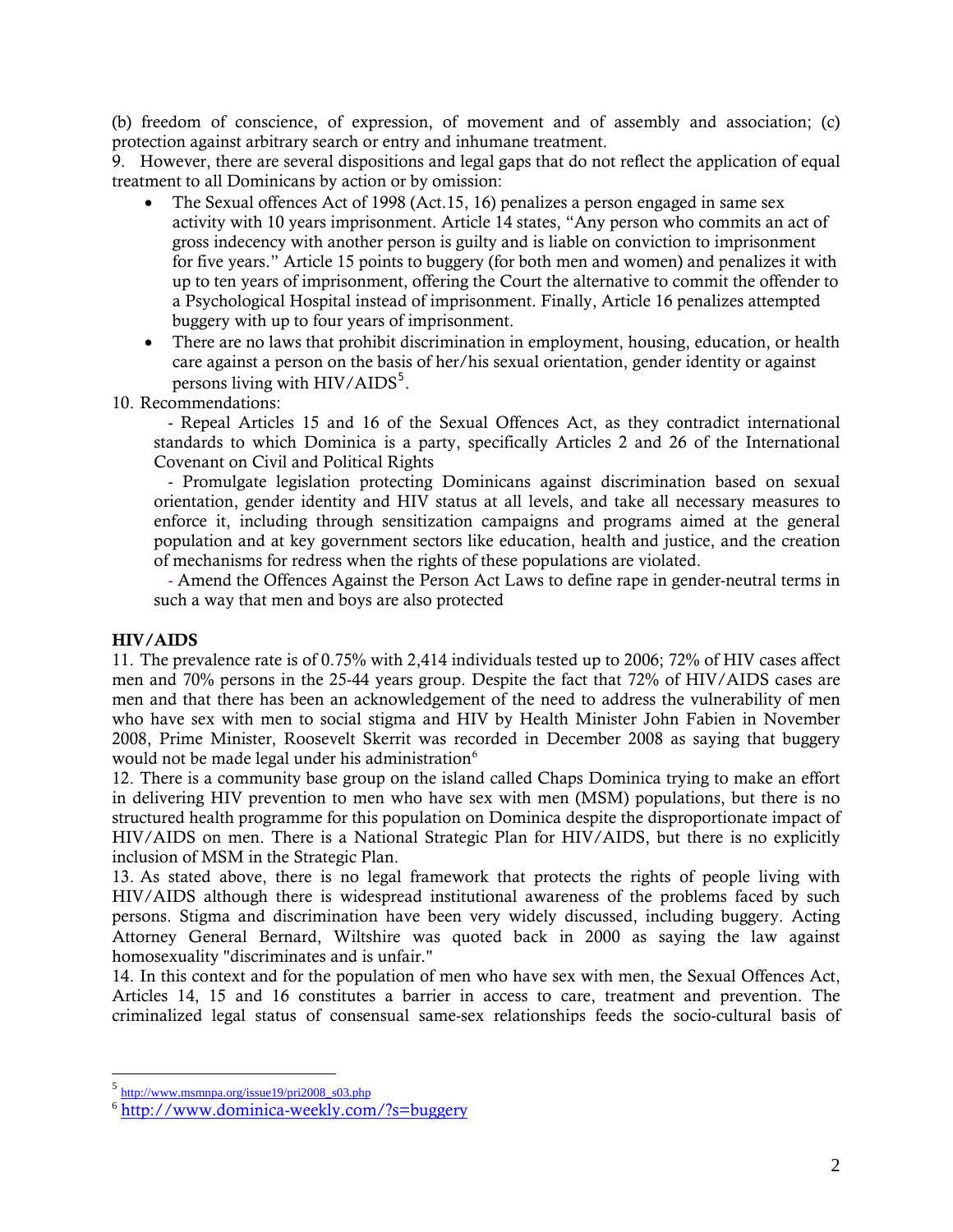(b) freedom of conscience, of expression, of movement and of assembly and association; (c) protection against arbitrary search or entry and inhumane treatment.

9. However, there are several dispositions and legal gaps that do not reflect the application of equal treatment to all Dominicans by action or by omission:

- The Sexual offences Act of 1998 (Act.15, 16) penalizes a person engaged in same sex activity with 10 years imprisonment. Article 14 states, "Any person who commits an act of gross indecency with another person is guilty and is liable on conviction to imprisonment for five years." Article 15 points to buggery (for both men and women) and penalizes it with up to ten years of imprisonment, offering the Court the alternative to commit the offender to a Psychological Hospital instead of imprisonment. Finally, Article 16 penalizes attempted buggery with up to four years of imprisonment.
- There are no laws that prohibit discrimination in employment, housing, education, or health care against a person on the basis of her/his sexual orientation, gender identity or against persons living with  $HIV/ALDS<sup>5</sup>$  $HIV/ALDS<sup>5</sup>$  $HIV/ALDS<sup>5</sup>$ .
- 10. Recommendations:

- Repeal Articles 15 and 16 of the Sexual Offences Act, as they contradict international standards to which Dominica is a party, specifically Articles 2 and 26 of the International Covenant on Civil and Political Rights

- Promulgate legislation protecting Dominicans against discrimination based on sexual orientation, gender identity and HIV status at all levels, and take all necessary measures to enforce it, including through sensitization campaigns and programs aimed at the general population and at key government sectors like education, health and justice, and the creation of mechanisms for redress when the rights of these populations are violated.

- Amend the Offences Against the Person Act Laws to define rape in gender-neutral terms in such a way that men and boys are also protected

# HIV/AIDS

 $\overline{a}$ 

11. The prevalence rate is of 0.75% with 2,414 individuals tested up to 2006; 72% of HIV cases affect men and 70% persons in the 25-44 years group. Despite the fact that 72% of HIV/AIDS cases are men and that there has been an acknowledgement of the need to address the vulnerability of men who have sex with men to social stigma and HIV by Health Minister John Fabien in November 2008, Prime Minister, Roosevelt Skerrit was recorded in December 2008 as saying that buggery would not be made legal under his administration<sup>[6](#page-1-1)</sup>

12. There is a community base group on the island called Chaps Dominica trying to make an effort in delivering HIV prevention to men who have sex with men (MSM) populations, but there is no structured health programme for this population on Dominica despite the disproportionate impact of HIV/AIDS on men. There is a National Strategic Plan for HIV/AIDS, but there is no explicitly inclusion of MSM in the Strategic Plan.

13. As stated above, there is no legal framework that protects the rights of people living with HIV/AIDS although there is widespread institutional awareness of the problems faced by such persons. Stigma and discrimination have been very widely discussed, including buggery. Acting Attorney General Bernard, Wiltshire was quoted back in 2000 as saying the law against homosexuality "discriminates and is unfair."

14. In this context and for the population of men who have sex with men, the Sexual Offences Act, Articles 14, 15 and 16 constitutes a barrier in access to care, treatment and prevention. The criminalized legal status of consensual same-sex relationships feeds the socio-cultural basis of

<span id="page-1-0"></span><sup>5</sup> [http://www.msmnpa.org/issue19/pri2008\\_s03.php](http://www.msmnpa.org/issue19/pri2008_s03.php)

<span id="page-1-1"></span><sup>6</sup> <http://www.dominica-weekly.com/?s=buggery>